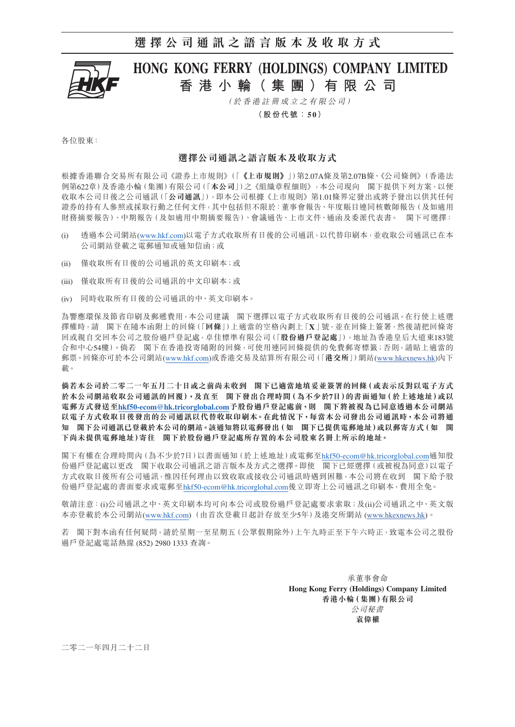## **選擇公司通訊之語言版本及收取方式**



# HONG KONG FERRY (HOLDINGS) COMPANY LIMITED **香港小輪( 集 團 )有限公司**

(於香港註冊成立之有限公司)

**(股份代號:5 0)**

各位股東:

### **選擇公司通訊之語言版本及收取方式**

根據香港聯合交易所有限公司《證券上市規則》(「**《上市規則》**」)第2.07A條及第2.07B條、《公司條例》(香港法 例第622章)及香港小輪(集團)有限公司(「**本公司**」)之《組織章程細則》,本公司現向 閣下提供下列方案,以便 收取本公司日後之公司通訊(「**公司通訊**」),即本公司根據《上市規則》第1.01條界定發出或將予發出以供其任何 證券的持有人參照或採取行動之任何文件,其中包括但不限於:董事會報告、年度賬目連同核數師報告(及如適用 財務摘要報告)、中期報告(及如適用中期摘要報告)、會議通告、上市文件、通函及委派代表書。 閣下可選擇:

- (i) 透過本公司網站(www.hkf.com)以電子方式收取所有日後的公司通訊,以代替印刷本,並收取公司通訊已在本 公司網站登載之電郵通知或通知信函;或
- (ii) 僅收取所有日後的公司通訊的英文印刷本;或
- (iii) 僅收取所有日後的公司通訊的中文印刷本;或
- (iv) 同時收取所有日後的公司通訊的中、英文印刷本。

為響應環保及節省印刷及郵遞費用,本公司建議 閣下選擇以電子方式收取所有日後的公司通訊。在行使上述選 擇權時,請 閣下在隨本函附上的回條(「**回條**」)上適當的空格內劃上「**X**」號,並在回條上簽署,然後請把回條寄 回或親自交回本公司之股份過戶登記處,卓佳標準有限公司(「**股份過戶登記處**」),地址為香港皇后大道東183號 合和中心54樓)。倘若 閣下在香港投寄隨附的回條,可使用連同回條提供的免費郵寄標籤;否則,請貼上適當的 郵票。回條亦可於本公司網站(www.hkf.com)或香港交易及結算所有限公司(「**港交所**」)網站[\(www.hkexnews.hk](https://www.hkexnews.hk/index_c.htm))內下 載。

**倘若本公司於二零二一年五月二十日或之前尚未收到 閣下已適當地填妥並簽署的回條(或表示反對以電子方式 於本公司網站收取公司通訊的回覆),及直至 閣下發出合理時間(為不少於7日)的書面通知(於上述地址)或以 電郵方式發送至[hkf50-ecom@hk.tricorglobal.com](mailto:hkf50-ecom%40hk.tricorglobal.com?subject=)予股份過戶登記處前,則 閣下將被視為已同意透過本公司網站 以電子方式收取日後發出的公司通訊以代替收取印刷本。在此情況下,每當本公司發出公司通訊時,本公司將通 知 閣下公司通訊已登載於本公司的網站。該通知將以電郵發出(如 閣下已提供電郵地址)或以郵寄方式(如 閣 下尚未提供電郵地址)寄往 閣下於股份過戶登記處所存置的本公司股東名冊上所示的地址。**

閣下有權在合理時間內(為不少於7日)以書面通知(於上述地址)或電郵至[hkf50-ecom@hk.tricorglobal.com](mailto:hkf50-ecom%40hk.tricorglobal.com?subject=)通知股 份過戶登記處以更改 閣下收取公司通訊之語言版本及方式之選擇。即使 閣下已經選擇(或被視為同意)以電子 方式收取日後所有公司通訊,惟因任何理由以致收取或接收公司通訊時遇到困難,本公司將在收到 閣下給予股 份過戶登記處的書面要求或電郵至[hkf50-ecom@hk.tricorglobal.com](mailto:hkf50-ecom%40hk.tricorglobal.com?subject=)後立即寄上公司通訊之印刷本,費用全免。

敬請注意:(i)公司通訊之中、英文印刷本均可向本公司或股份過戶登記處要求索取;及(ii)公司通訊之中、英文版 本亦登載於本公司網站(www.hkf.com)(由首次登載日起計存放至少5年)及港交所網站 [\(www.hkexnews.hk](https://www.hkexnews.hk/index_c.htm))。

若 閣下對本函有任何疑問,請於星期一至星期五(公眾假期除外)上午九時正至下午六時正,致電本公司之股份 過戶登記處電話熱線 (852) 2980 1333 查詢。

> 承董事會命 **Hong Kong Ferry (Holdings) Company Limited 香港小輪(集團)有限公司** 公司秘書 **袁偉權**

二零二一年四月二十二日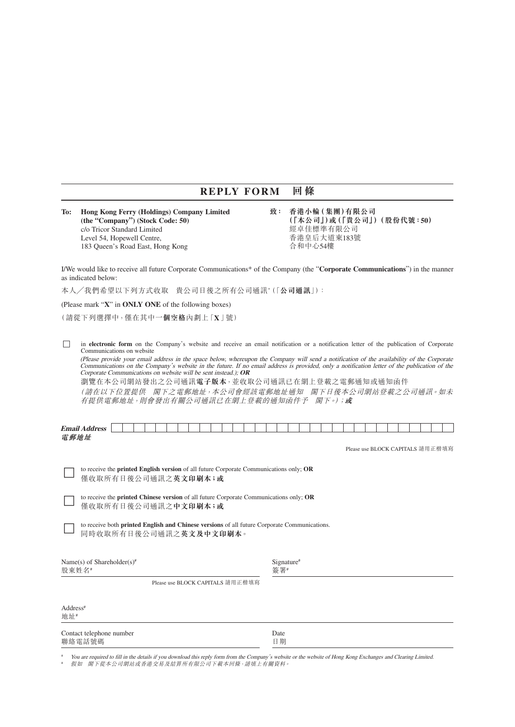## **REPLY FORM 回條**

**To: Hong Kong Ferry (Holdings) Company Limited 致: 香港小輪(集團)有限公司** c/o Tricor Standard Limited 經卓佳標準有限公司<br>Level 54. Hopewell Centre. 香港皇后大道東183號 Level 54, Hopewell Centre, 183 Queen's Road East, Hong Kong http://www.facebook.com/discreent/state/discreen

 **(the "Company") (Stock Code: 50) (「本公司」)或(「貴公司」)(股份代號:50)**

I/We would like to receive all future Corporate Communications\* of the Company (the "**Corporate Communications**") in the manner as indicated below:

本人╱我們希望以下列方式收取 貴公司日後之所有公司通訊\* (「**公司通訊**」):

(Please mark "**X**" in **ONLY ONE** of the following boxes)

(請從下列選擇中,僅在其中**一個空格**內劃上「**X**」號)

□ in **electronic form** on the Company's website and receive an email notification or a notification letter of the publication of Corporate Communications on website

(Please provide your email address in the space below, whereupon the Company will send a notification of the availability of the Corporate Communications on the Company's website in the future. If no email address is provided, only a notification letter of the publication of the Corporate Communications on website will be sent instead.); **OR**

瀏覽在本公司網站發出之公司通訊**電子版本**,並收取公司通訊已在網上登載之電郵通知或通知函件

(請在以下位置提供 閣下之電郵地址,本公司會經該電郵地址通知 閣下日後本公司網站登載之公司通訊。如未 有提供電郵地址,則會發出有關公司通訊已在網上登載的通知函件予 閣下。);**或**

| <b>Email</b><br>. .<br>$P^* \cap C^* \cap C$ |  |  |  |  |  |  |  |  |  |  |  |  |  |  |  |  |
|----------------------------------------------|--|--|--|--|--|--|--|--|--|--|--|--|--|--|--|--|
| 電郵地址                                         |  |  |  |  |  |  |  |  |  |  |  |  |  |  |  |  |

Please use BLOCK CAPITALS 請用正楷填寫

□ to receive the **printed English version** of all future Corporate Communications only; **OR** 僅收取所有日後公司通訊之**英文印刷本;或**

□ to receive the **printed Chinese version** of all future Corporate Communications only; **OR** 僅收取所有日後公司通訊之**中文印刷本;或**

to receive both **printed English and Chinese versions** of all future Corporate Communications. 同時收取所有日後公司通訊之**英文及中文印刷本**。

| Name(s) of Shareholder(s) <sup>#</sup><br>股東姓名# |                                  | Signature <sup>#</sup><br>答署# |  |
|-------------------------------------------------|----------------------------------|-------------------------------|--|
|                                                 | Please use BLOCK CAPITALS 請用正楷填寫 |                               |  |

| Address <sup>#</sup><br>地址#        |            |  |
|------------------------------------|------------|--|
| Contact telephone number<br>聯絡電話號碼 | Date<br>日期 |  |

You are required to fill in the details if you download this reply form from the Company's website or the website of Hong Kong Exchanges and Clearing Limited. # 假如 閣下從本公司網站或香港交易及結算所有限公司下載本回條,請填上有關資料。